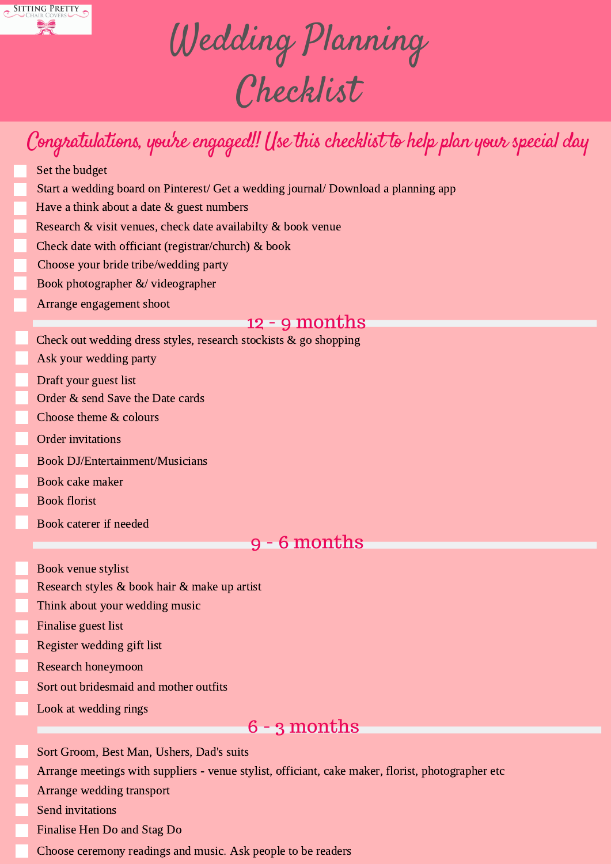

Wedding Planning Checklist

# Congratulations, you're engaged!! (fse this checklist to help plan your special day

- Set the budget
- Start a wedding board on Pinterest/ Get a wedding journal/ Download a planning app
- Have a think about a date & guest numbers
- Research & visit venues, check date availabilty & book venue
- Check date with officiant (registrar/church) & book
- Choose your bride tribe/wedding party
- Book photographer &/ videographer
- Arrange engagement shoot

### 12 - 9 months

- Check out wedding dress styles, research stockists & go shopping
- Ask your wedding party
- Draft your guest list
- Order & send Save the Date cards
- Choose theme & colours
- Order invitations
- Book DJ/Entertainment/Musicians
- Book cake maker
- Book florist
- Book caterer if needed

## 9 - 6 months

- Book venue stylist
- Research styles & book hair & make up artist
- Think about your wedding music
- Finalise guest list
- Register wedding gift list
- Research honeymoon
- Sort out bridesmaid and mother outfits
- Look at wedding rings

### 6 - 3 months

Sort Groom, Best Man, Ushers, Dad's suits

Arrange meetings with suppliers - venue stylist, officiant, cake maker, florist, photographer etc

- Arrange wedding transport
- Send invitations
- Finalise Hen Do and Stag Do
- Choose ceremony readings and music. Ask people to be readers